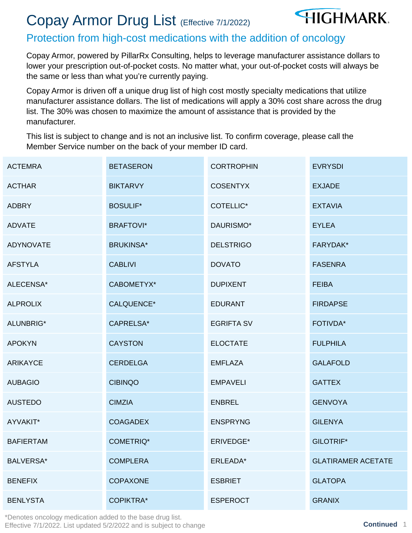# Copay Armor Drug List (Effective 7/1/2022)



#### Protection from high-cost medications with the addition of oncology

Copay Armor, powered by PillarRx Consulting, helps to leverage manufacturer assistance dollars to lower your prescription out-of-pocket costs. No matter what, your out-of-pocket costs will always be the same or less than what you're currently paying.

Copay Armor is driven off a unique drug list of high cost mostly specialty medications that utilize manufacturer assistance dollars. The list of medications will apply a 30% cost share across the drug list. The 30% was chosen to maximize the amount of assistance that is provided by the manufacturer.

This list is subject to change and is not an inclusive list. To confirm coverage, please call the Member Service number on the back of your member ID card.

| <b>ACTEMRA</b>   | <b>BETASERON</b> | <b>CORTROPHIN</b> | <b>EVRYSDI</b>            |
|------------------|------------------|-------------------|---------------------------|
| <b>ACTHAR</b>    | <b>BIKTARVY</b>  | <b>COSENTYX</b>   | <b>EXJADE</b>             |
| <b>ADBRY</b>     | <b>BOSULIF*</b>  | <b>COTELLIC*</b>  | <b>EXTAVIA</b>            |
| <b>ADVATE</b>    | <b>BRAFTOVI*</b> | DAURISMO*         | <b>EYLEA</b>              |
| <b>ADYNOVATE</b> | <b>BRUKINSA*</b> | <b>DELSTRIGO</b>  | FARYDAK*                  |
| <b>AFSTYLA</b>   | <b>CABLIVI</b>   | <b>DOVATO</b>     | <b>FASENRA</b>            |
| ALECENSA*        | CABOMETYX*       | <b>DUPIXENT</b>   | <b>FEIBA</b>              |
| <b>ALPROLIX</b>  | CALQUENCE*       | <b>EDURANT</b>    | <b>FIRDAPSE</b>           |
| ALUNBRIG*        | CAPRELSA*        | <b>EGRIFTA SV</b> | <b>FOTIVDA*</b>           |
| <b>APOKYN</b>    | <b>CAYSTON</b>   | <b>ELOCTATE</b>   | <b>FULPHILA</b>           |
| <b>ARIKAYCE</b>  | <b>CERDELGA</b>  | <b>EMFLAZA</b>    | <b>GALAFOLD</b>           |
| <b>AUBAGIO</b>   | <b>CIBINQO</b>   | <b>EMPAVELI</b>   | <b>GATTEX</b>             |
| <b>AUSTEDO</b>   | <b>CIMZIA</b>    | <b>ENBREL</b>     | <b>GENVOYA</b>            |
| AYVAKIT*         | <b>COAGADEX</b>  | <b>ENSPRYNG</b>   | <b>GILENYA</b>            |
| <b>BAFIERTAM</b> | <b>COMETRIQ*</b> | ERIVEDGE*         | <b>GILOTRIF*</b>          |
| <b>BALVERSA*</b> | <b>COMPLERA</b>  | ERLEADA*          | <b>GLATIRAMER ACETATE</b> |
| <b>BENEFIX</b>   | <b>COPAXONE</b>  | <b>ESBRIET</b>    | <b>GLATOPA</b>            |
| <b>BENLYSTA</b>  | <b>COPIKTRA*</b> | <b>ESPEROCT</b>   | <b>GRANIX</b>             |

\*Denotes oncology medication added to the base drug list. Effective 7/1/2022. List updated 5/2/2022 and is subject to change **Continued** 1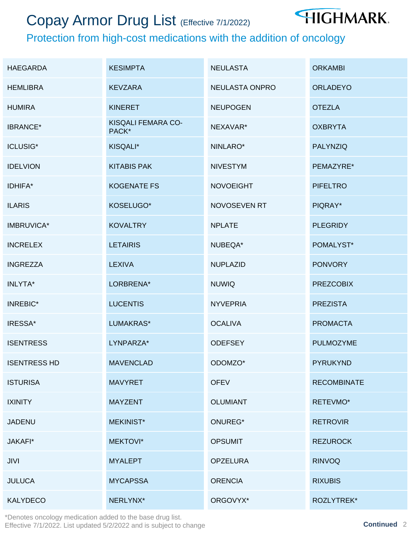## Copay Armor Drug List (Effective 7/1/2022)



### Protection from high-cost medications with the addition of oncology

| <b>HAEGARDA</b>     | <b>KESIMPTA</b>             | <b>NEULASTA</b>  | <b>ORKAMBI</b>     |
|---------------------|-----------------------------|------------------|--------------------|
| <b>HEMLIBRA</b>     | <b>KEVZARA</b>              | NEULASTA ONPRO   | <b>ORLADEYO</b>    |
| <b>HUMIRA</b>       | <b>KINERET</b>              | <b>NEUPOGEN</b>  | <b>OTEZLA</b>      |
| <b>IBRANCE*</b>     | KISQALI FEMARA CO-<br>PACK* | NEXAVAR*         | <b>OXBRYTA</b>     |
| <b>ICLUSIG*</b>     | KISQALI*                    | NINLARO*         | <b>PALYNZIQ</b>    |
| <b>IDELVION</b>     | <b>KITABIS PAK</b>          | <b>NIVESTYM</b>  | PEMAZYRE*          |
| IDHIFA*             | <b>KOGENATE FS</b>          | <b>NOVOEIGHT</b> | <b>PIFELTRO</b>    |
| <b>ILARIS</b>       | KOSELUGO*                   | NOVOSEVEN RT     | PIQRAY*            |
| <b>IMBRUVICA*</b>   | <b>KOVALTRY</b>             | <b>NPLATE</b>    | <b>PLEGRIDY</b>    |
| <b>INCRELEX</b>     | <b>LETAIRIS</b>             | NUBEQA*          | POMALYST*          |
| <b>INGREZZA</b>     | <b>LEXIVA</b>               | <b>NUPLAZID</b>  | <b>PONVORY</b>     |
| INLYTA*             | LORBRENA*                   | <b>NUWIQ</b>     | <b>PREZCOBIX</b>   |
| <b>INREBIC*</b>     | <b>LUCENTIS</b>             | <b>NYVEPRIA</b>  | <b>PREZISTA</b>    |
| IRESSA*             | LUMAKRAS*                   | <b>OCALIVA</b>   | <b>PROMACTA</b>    |
| <b>ISENTRESS</b>    | LYNPARZA*                   | <b>ODEFSEY</b>   | <b>PULMOZYME</b>   |
| <b>ISENTRESS HD</b> | <b>MAVENCLAD</b>            | ODOMZO*          | <b>PYRUKYND</b>    |
| <b>ISTURISA</b>     | <b>MAVYRET</b>              | <b>OFEV</b>      | <b>RECOMBINATE</b> |
| <b>IXINITY</b>      | <b>MAYZENT</b>              | <b>OLUMIANT</b>  | RETEVMO*           |
| <b>JADENU</b>       | <b>MEKINIST*</b>            | ONUREG*          | <b>RETROVIR</b>    |
| JAKAFI*             | MEKTOVI*                    | <b>OPSUMIT</b>   | <b>REZUROCK</b>    |
| <b>JIVI</b>         | <b>MYALEPT</b>              | <b>OPZELURA</b>  | <b>RINVOQ</b>      |
| <b>JULUCA</b>       | <b>MYCAPSSA</b>             | <b>ORENCIA</b>   | <b>RIXUBIS</b>     |
| <b>KALYDECO</b>     | NERLYNX*                    | ORGOVYX*         | ROZLYTREK*         |

\*Denotes oncology medication added to the base drug list. Effective 7/1/2022. List updated 5/2/2022 and is subject to change